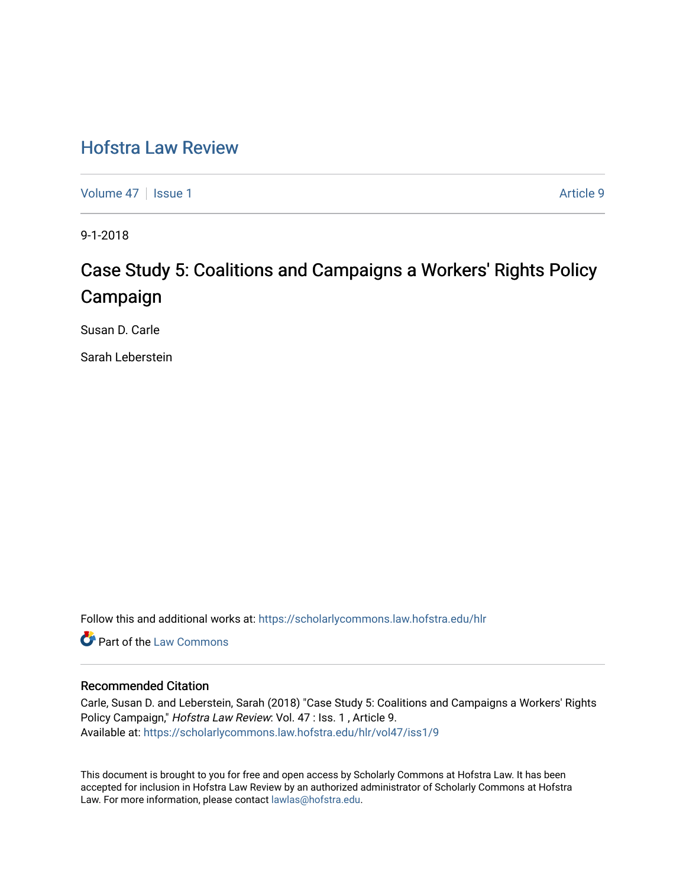# [Hofstra Law Review](https://scholarlycommons.law.hofstra.edu/hlr)

[Volume 47](https://scholarlycommons.law.hofstra.edu/hlr/vol47) | [Issue 1](https://scholarlycommons.law.hofstra.edu/hlr/vol47/iss1) Article 9

9-1-2018

# Case Study 5: Coalitions and Campaigns a Workers' Rights Policy Campaign

Susan D. Carle

Sarah Leberstein

Follow this and additional works at: [https://scholarlycommons.law.hofstra.edu/hlr](https://scholarlycommons.law.hofstra.edu/hlr?utm_source=scholarlycommons.law.hofstra.edu%2Fhlr%2Fvol47%2Fiss1%2F9&utm_medium=PDF&utm_campaign=PDFCoverPages)

**C** Part of the [Law Commons](http://network.bepress.com/hgg/discipline/578?utm_source=scholarlycommons.law.hofstra.edu%2Fhlr%2Fvol47%2Fiss1%2F9&utm_medium=PDF&utm_campaign=PDFCoverPages)

# Recommended Citation

Carle, Susan D. and Leberstein, Sarah (2018) "Case Study 5: Coalitions and Campaigns a Workers' Rights Policy Campaign," Hofstra Law Review: Vol. 47 : Iss. 1 , Article 9. Available at: [https://scholarlycommons.law.hofstra.edu/hlr/vol47/iss1/9](https://scholarlycommons.law.hofstra.edu/hlr/vol47/iss1/9?utm_source=scholarlycommons.law.hofstra.edu%2Fhlr%2Fvol47%2Fiss1%2F9&utm_medium=PDF&utm_campaign=PDFCoverPages)

This document is brought to you for free and open access by Scholarly Commons at Hofstra Law. It has been accepted for inclusion in Hofstra Law Review by an authorized administrator of Scholarly Commons at Hofstra Law. For more information, please contact [lawlas@hofstra.edu.](mailto:lawlas@hofstra.edu)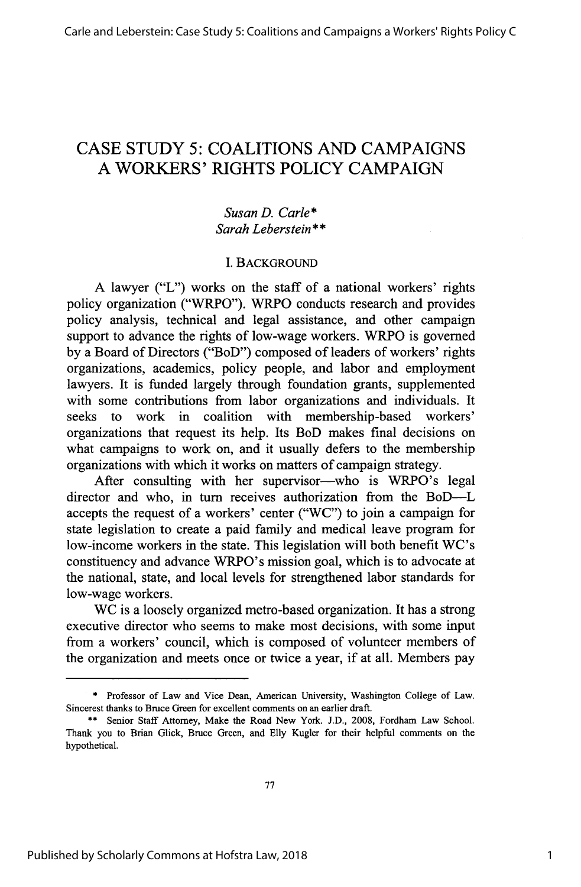# CASE STUDY 5: COALITIONS **AND** CAMPAIGNS A WORKERS' RIGHTS POLICY CAMPAIGN

## *Susan D. Carle\* Sarah Leberstein* \* **\***

### I. BACKGROUND

A lawyer ("L") works on the staff of a national workers' rights policy organization ("WRPO"). WRPO conducts research and provides policy analysis, technical and legal assistance, and other campaign support to advance the rights of low-wage workers. WRPO is governed by a Board of Directors ("BoD") composed of leaders of workers' rights organizations, academics, policy people, and labor and employment lawyers. It is funded largely through foundation grants, supplemented with some contributions from labor organizations and individuals. It seeks to work in coalition with membership-based workers' organizations that request its help. Its BoD makes final decisions on what campaigns to work on, and it usually defers to the membership organizations with which it works on matters of campaign strategy.

After consulting with her supervisor—who is WRPO's legal director and who, in turn receives authorization from the BoD--L accepts the request of a workers' center ("WC") to join a campaign for state legislation to create a paid family and medical leave program for low-income workers in the state. This legislation will both benefit WC's constituency and advance WRPO's mission goal, which is to advocate at the national, state, and local levels for strengthened labor standards for low-wage workers.

WC is a loosely organized metro-based organization. It has a strong executive director who seems to make most decisions, with some input from a workers' council, which is composed of volunteer members of the organization and meets once or twice a year, if at all. Members pay

<sup>\*</sup> Professor of Law and Vice Dean, American University, Washington College of Law. Sincerest thanks to Bruce Green for excellent comments on an earlier draft.

<sup>\*\*</sup> Senior Staff Attorney, Make the Road New York. J.D., 2008, Fordham Law School. Thank you to Brian Glick, Bruce Green, and Elly Kugler for their helpful comments on the hypothetical.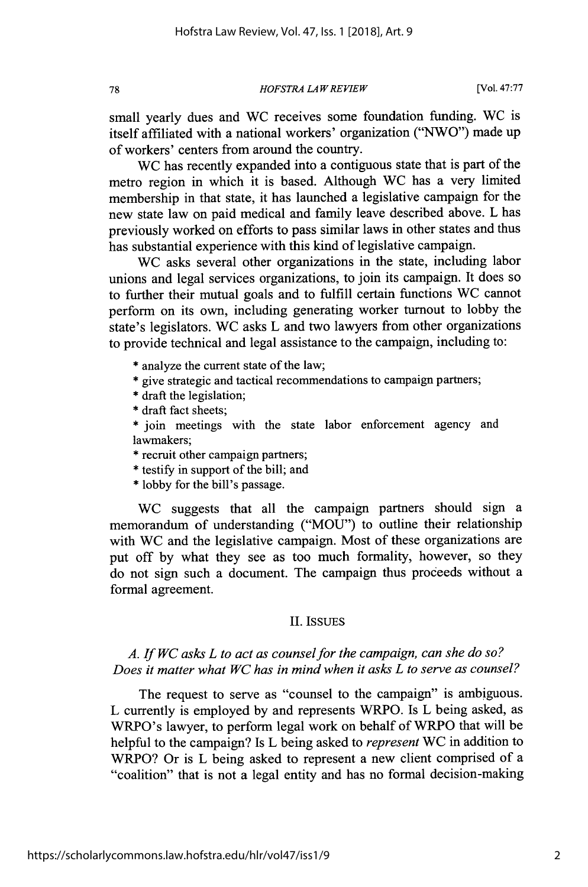*HOFSTRA LA W REVIEW*

small yearly dues and WC receives some foundation funding. WC is itself affiliated with a national workers' organization ("NWO") made up of workers' centers from around the country.

WC has recently expanded into a contiguous state that is part of the metro region in which it is based. Although WC has a very limited membership in that state, it has launched a legislative campaign for the new state law on paid medical and family leave described above. L has previously worked on efforts to pass similar laws in other states and thus has substantial experience with this kind of legislative campaign.

WC asks several other organizations in the state, including labor unions and legal services organizations, to join its campaign. It does so to further their mutual goals and to fulfill certain functions WC cannot perform on its own, including generating worker turnout to lobby the state's legislators. WC asks L and two lawyers from other organizations to provide technical and legal assistance to the campaign, including to:

- \* analyze the current state of the law;
- \* give strategic and tactical recommendations to campaign partners;
- \* draft the legislation;
- \* draft fact sheets;

\* join meetings with the state labor enforcement agency and lawmakers;

- \* recruit other campaign partners;
- \* testify in support of the bill; and
- \* lobby for the bill's passage.

WC suggests that all the campaign partners should sign a memorandum of understanding ("MOU") to outline their relationship with WC and the legislative campaign. Most of these organizations are put off by what they see as too much formality, however, so they do not sign such a document. The campaign thus proceeds without a formal agreement.

### II. ISSUES

# *A. If WC asks L to act as counsel for the campaign, can she do so? Does it matter what WC has in mind when it asks L to serve as counsel?*

The request to serve as "counsel to the campaign" is ambiguous. L currently is employed by and represents WRPO. Is L being asked, as WRPO's lawyer, to perform legal work on behalf of WRPO that will be helpful to the campaign? Is L being asked to *represent* WC in addition to WRPO? Or is L being asked to represent a new client comprised of a "coalition" that is not a legal entity and has no formal decision-making

78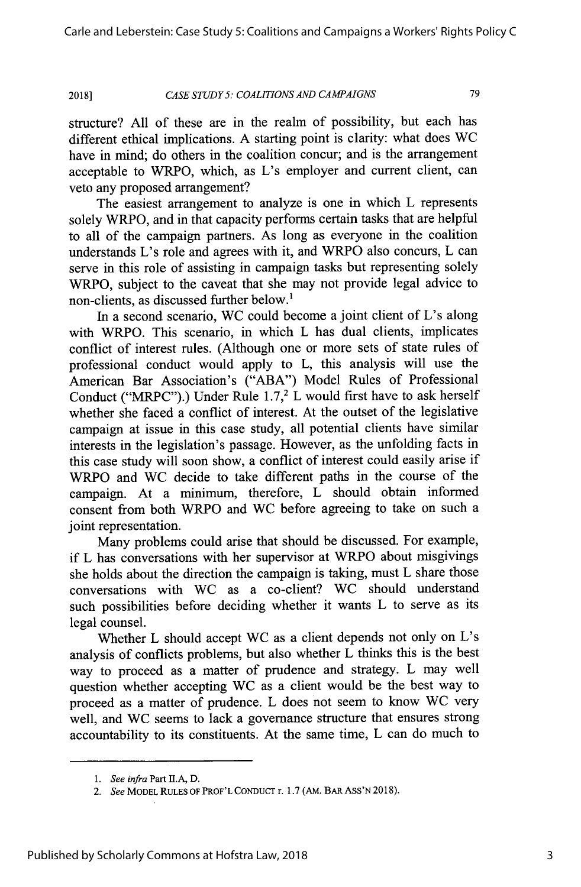#### *CASE STUDY5: COALITIONS AND CAMPAIGNS* **2018]**

79

structure? All of these are in the realm of possibility, but each has different ethical implications. A starting point is clarity: what does WC have in mind; do others in the coalition concur; and is the arrangement acceptable to WRPO, which, as L's employer and current client, can veto any proposed arrangement?

The easiest arrangement to analyze is one in which L represents solely WRPO, and in that capacity performs certain tasks that are helpful to all of the campaign partners. As long as everyone in the coalition understands L's role and agrees with it, and WRPO also concurs, L can serve in this role of assisting in campaign tasks but representing solely WRPO, subject to the caveat that she may not provide legal advice to non-clients, as discussed further below.<sup>1</sup>

In a second scenario, WC could become a joint client of  $L$ 's along with WRPO. This scenario, in which L has dual clients, implicates conflict of interest rules. (Although one or more sets of state rules of professional conduct would apply to L, this analysis will use the American Bar Association's ("ABA") Model Rules of Professional Conduct ("MRPC").) Under Rule  $1.7<sup>2</sup>$  L would first have to ask herself whether she faced a conflict of interest. At the outset of the legislative campaign at issue in this case study, all potential clients have similar interests in the legislation's passage. However, as the unfolding facts in this case study will soon show, a conflict of interest could easily arise if WRPO and WC decide to take different paths in the course of the campaign. At a minimum, therefore, L should obtain informed consent from both WRPO and WC before agreeing to take on such a joint representation.

Many problems could arise that should be discussed. For example, if L has conversations with her supervisor at WRPO about misgivings she holds about the direction the campaign is taking, must L share those conversations with WC as a co-client? WC should understand such possibilities before deciding whether it wants L to serve as its legal counsel.

Whether L should accept WC as a client depends not only on L's analysis of conflicts problems, but also whether L thinks this is the best way to proceed as a matter of prudence and strategy. L may well question whether accepting WC as a client would be the best way to proceed as a matter of prudence. L does not seem to know WC very well, and WC seems to lack a governance structure that ensures strong accountability to its constituents. At the same time, L can do much to

<sup>1.</sup> See infra Part II.A, D.

*<sup>2.</sup> See* MODEL **RULES OF** PROF'L **CONDUCT** r. 1.7 (AM. BAR ASS'N 2018).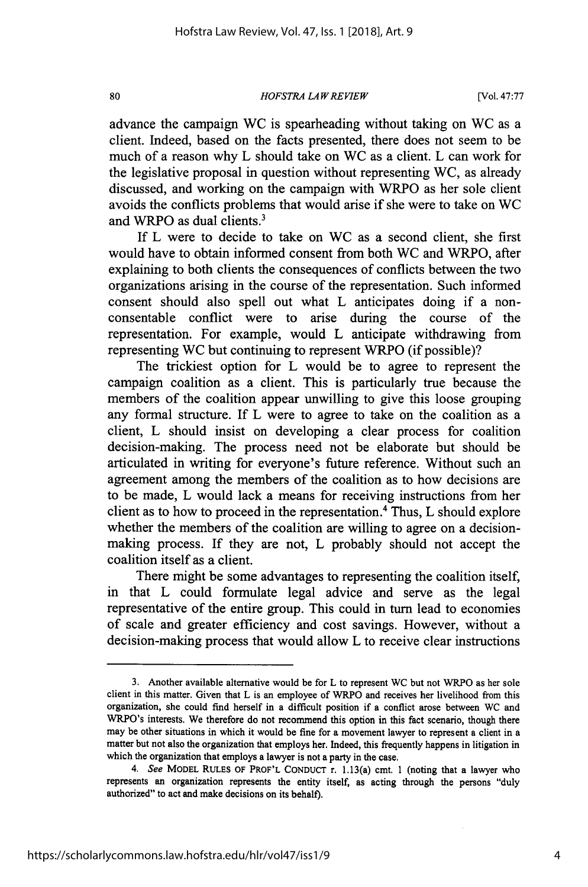### *HOFSTRA LA W RE VIEW*

advance the campaign WC is spearheading without taking on WC as a client. Indeed, based on the facts presented, there does not seem to be much of a reason why L should take on WC as a client. L can work for the legislative proposal in question without representing WC, as already discussed, and working on the campaign with WRPO as her sole client avoids the conflicts problems that would arise if she were to take on WC and WRPO as dual clients.<sup>3</sup>

If L were to decide to take on WC as a second client, she first would have to obtain informed consent from both WC and WRPO, after explaining to both clients the consequences of conflicts between the two organizations arising in the course of the representation. Such informed consent should also spell out what L anticipates doing if a nonconsentable conflict were to arise during the course of the representation. For example, would L anticipate withdrawing from representing WC but continuing to represent WRPO (if possible)?

The trickiest option for L would be to agree to represent the campaign coalition as a client. This is particularly true because the members of the coalition appear unwilling to give this loose grouping any formal structure. If L were to agree to take on the coalition as a client, L should insist on developing a clear process for coalition decision-making. The process need not be elaborate but should be articulated in writing for everyone's future reference. Without such an agreement among the members of the coalition as to how decisions are to be made, L would lack a means for receiving instructions from her client as to how to proceed in the representation.4 Thus, L should explore whether the members of the coalition are willing to agree on a decisionmaking process. If they are not, L probably should not accept the coalition itself as a client.

There might be some advantages to representing the coalition itself, in that L could formulate legal advice and serve as the legal representative of the entire group. This could in turn lead to economies of scale and greater efficiency and cost savings. However, without a decision-making process that would allow L to receive clear instructions

80

<sup>3.</sup> Another available alternative would be for L to represent WC but not WRPO as her sole client in this matter. Given that L is an employee of WRPO and receives her livelihood from this organization, she could find herself in a difficult position if a conflict arose between WC and WRPO's interests. We therefore do not recommend this option in this fact scenario, though there may be other situations in which it would be fine for a movement lawyer to represent a client in a matter but not also the organization that employs her. Indeed, this frequently happens in litigation in which the organization that employs a lawyer is not a party in the case.

*<sup>4.</sup> See* MODEL RULES OF PROF'L CONDUCT r. 1.13(a) cmt. 1 (noting that a lawyer who represents an organization represents the entity itself, as acting through the persons "duly authorized" to act and make decisions on its behalf).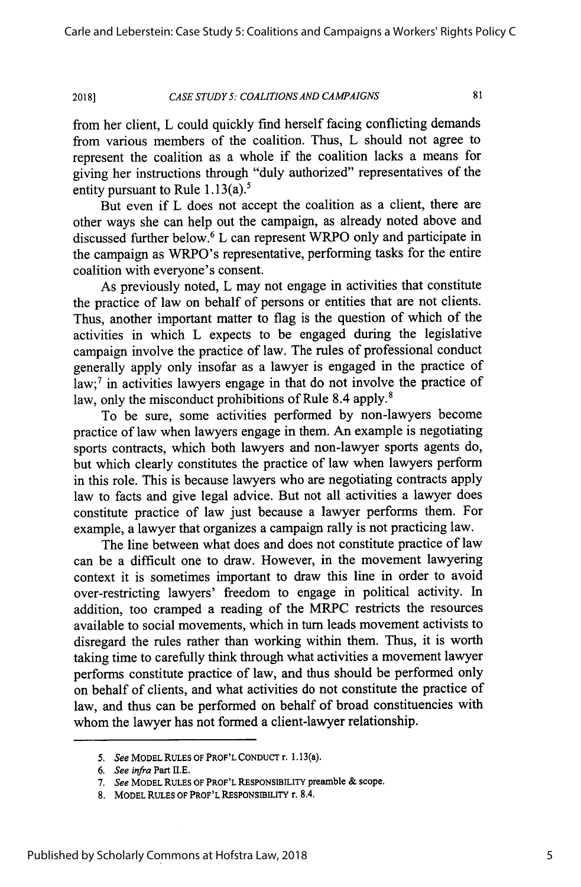#### *CASE STUDY 5: COALITIONS AND CAMPAIGNS* **2018]**

81

from her client, L could quickly find herself facing conflicting demands from various members of the coalition. Thus, L should not agree to represent the coalition as a whole if the coalition lacks a means for giving her instructions through "duly authorized" representatives of the entity pursuant to Rule 1.13(a).<sup>5</sup>

But even if L does not accept the coalition as a client, there are other ways she can help out the campaign, as already noted above and discussed further below.6 L can represent WRPO only and participate in the campaign as WRPO's representative, performing tasks for the entire coalition with everyone's consent.

As previously noted, L may not engage in activities that constitute the practice of law on behalf of persons or entities that are not clients. Thus, another important matter to flag is the question of which of the activities in which L expects to be engaged during the legislative campaign involve the practice of law. The rules of professional conduct generally apply only insofar as a lawyer is engaged in the practice of  $law$ ;<sup>7</sup> in activities lawyers engage in that do not involve the practice of law, only the misconduct prohibitions of Rule 8.4 apply.<sup>8</sup>

To be sure, some activities performed by non-lawyers become practice of law when lawyers engage in them. An example is negotiating sports contracts, which both lawyers and non-lawyer sports agents do, but which clearly constitutes the practice of law when lawyers perform in this role. This is because lawyers who are negotiating contracts apply law to facts and give legal advice. But not all activities a lawyer does constitute practice of law just because a lawyer performs them. For example, a lawyer that organizes a campaign rally is not practicing law.

The line between what does and does not constitute practice of law can be a difficult one to draw. However, in the movement lawyering context it is sometimes important to draw this line in order to avoid over-restricting lawyers' freedom to engage in political activity. In addition, too cramped a reading of the MRPC restricts the resources available to social movements, which in turn leads movement activists to disregard the rules rather than working within them. Thus, it is worth taking time to carefully think through what activities a movement lawyer performs constitute practice of law, and thus should be performed only on behalf of clients, and what activities do not constitute the practice of law, and thus can be performed on behalf of broad constituencies with whom the lawyer has not formed a client-lawyer relationship.

*<sup>5.</sup> See* MODEL **RULES** OF PROF'L CONDUCT r. 1.13(a).

*<sup>6.</sup> See infra* Part **H.E.**

*<sup>7.</sup> See* MODEL **RULES** OF PROF'L RESPONSIBILITY preamble & scope.

<sup>8.</sup> MODEL RULES OF PROF'L RESPONSIBILITY r. 8.4.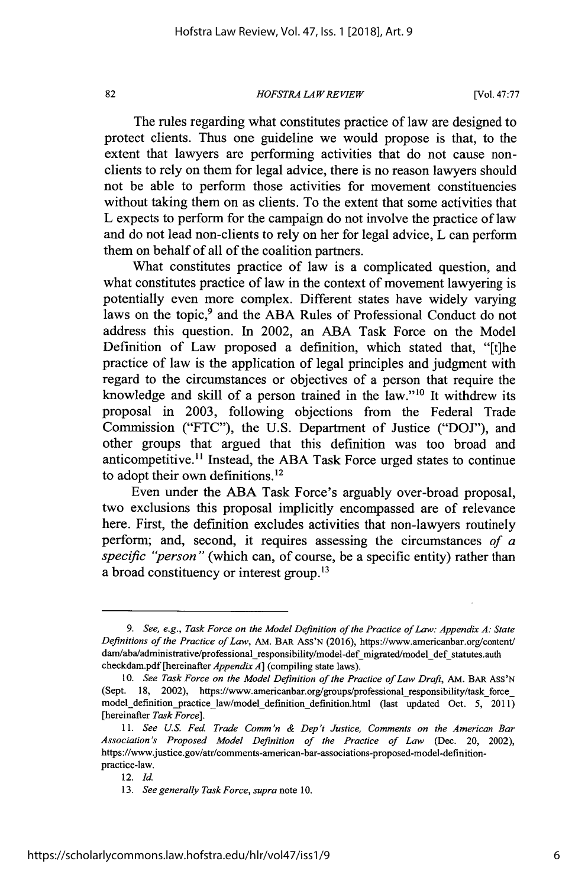82

### *HOFSTRA LAW REVIEW*

[Vol. **47:77**

The rules regarding what constitutes practice of law are designed to protect clients. Thus one guideline we would propose is that, to the extent that lawyers are performing activities that do not cause nonclients to rely on them for legal advice, there is no reason lawyers should not be able to perform those activities for movement constituencies without taking them on as clients. To the extent that some activities that L expects to perform for the campaign do not involve the practice of law and do not lead non-clients to rely on her for legal advice, L can perform them on behalf of all of the coalition partners.

What constitutes practice of law is a complicated question, and what constitutes practice of law in the context of movement lawyering is potentially even more complex. Different states have widely varying laws on the topic,<sup>9</sup> and the ABA Rules of Professional Conduct do not address this question. In 2002, an ABA Task Force on the Model Definition of Law proposed a definition, which stated that, "[t]he practice of law is the application of legal principles and judgment with regard to the circumstances or objectives of a person that require the knowledge and skill of a person trained in the law." $10$  It withdrew its proposal in 2003, following objections from the Federal Trade Commission ("FTC"), the U.S. Department of Justice ("DOJ"), and other groups that argued that this definition was too broad and anticompetitive.<sup>11</sup> Instead, the ABA Task Force urged states to continue to adopt their own definitions.<sup>12</sup>

Even under the ABA Task Force's arguably over-broad proposal, two exclusions this proposal implicitly encompassed are of relevance here. First, the definition excludes activities that non-lawyers routinely perform; and, second, it requires assessing the circumstances *of a specific "person"* (which can, of course, be a specific entity) rather than a broad constituency or interest group.<sup>13</sup>

*<sup>9.</sup> See, e.g., Task Force on the Model Definition of the Practice of Law: Appendix* **A:** *State Definitions of the Practice of Law,* AM. BAR ASS'N (2016), https://www.americanbar.org/content/ dam/aba/administrative/professional responsibility/model-def migrated/model def statutes.auth checkdam.pdf [hereinafter *Appendix A]* (compiling state laws).

<sup>10.</sup> *See Task Force on the Model Definition of the Practice of Law Draft*, AM. BAR ASS'N (Sept. 18, 2002), https://www.americanbar.org/groups/professional\_responsibility/task\_force\_ model\_definition\_practice law/model definition definition.html (last updated Oct. 5, 2011) [hereinafter *Task Force].*

<sup>11.</sup> *See U.S. Fed. Trade Comm'n & Dep't Justice, Comments on the American Bar Association's Proposed Model Definition of the Practice of Law* (Dec. 20, 2002), https://www.justice.gov/atr/comments-american-bar-associations-proposed-model-definitionpractice-law.

<sup>12.</sup> *Id.*

<sup>13.</sup> *See generally Task Force, supra* note 10.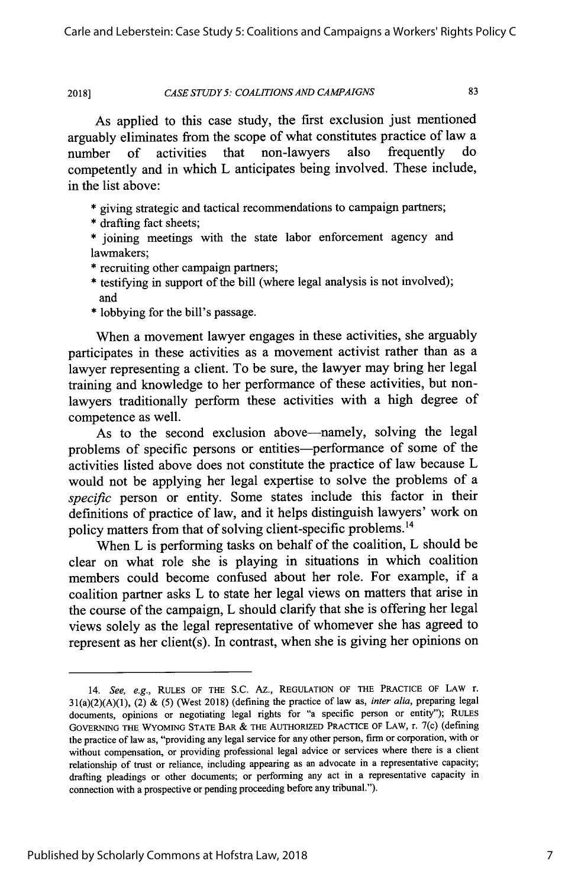#### *CASE STUDY 5: COALITIONS AND CAMPAIGNS* **2018]**

83

As applied to this case study, the first exclusion just mentioned arguably eliminates from the scope of what constitutes practice of law a number of activities that non-lawyers also frequently do competently and in which L anticipates being involved. These include, in the list above:

- \* giving strategic and tactical recommendations to campaign partners;
- \* drafting fact sheets;
- \* joining meetings with the state labor enforcement agency and lawmakers;
- \* recruiting other campaign partners;
- \* testifying in support of the bill (where legal analysis is not involved); and
- \* lobbying for the bill's passage.

When a movement lawyer engages in these activities, she arguably participates in these activities as a movement activist rather than as a lawyer representing a client. To be sure, the lawyer may bring her legal training and knowledge to her performance of these activities, but nonlawyers traditionally perform these activities with a high degree of competence as well.

As to the second exclusion above-namely, solving the legal problems of specific persons or entities-performance of some of the activities listed above does not constitute the practice of law because L would not be applying her legal expertise to solve the problems of a *specific* person or entity. Some states include this factor in their definitions of practice of law, and it helps distinguish lawyers' work on policy matters from that of solving client-specific problems.<sup>14</sup>

When L is performing tasks on behalf of the coalition, L should be clear on what role she is playing in situations in which coalition members could become confused about her role. For example, if a coalition partner asks L to state her legal views on matters that arise in the course of the campaign, L should clarify that she is offering her legal views solely as the legal representative of whomever she has agreed to represent as her client(s). In contrast, when she is giving her opinions on

<sup>14.</sup> *See, e.g.,* RULES OF THE S.C. AZ., REGULATION OF THE PRACTICE OF LAW r. 31(a)(2)(A)(1), (2) & (5) (West 2018) (defining the practice of law as, *inter alia,* preparing legal documents, opinions or negotiating legal rights for "a specific person or entity"); RULEs GOVERNING THE WYOMING STATE BAR & THE AUTHORIZED PRACTICE OF LAW, r. 7(c) (defining the practice of law as, "providing any legal service for any other person, firm or corporation, with or without compensation, or providing professional legal advice or services where there is a client relationship of trust or reliance, including appearing as an advocate in a representative capacity; draffing pleadings or other documents; or performing any act in a representative capacity in connection with a prospective or pending proceeding before any tribunal.").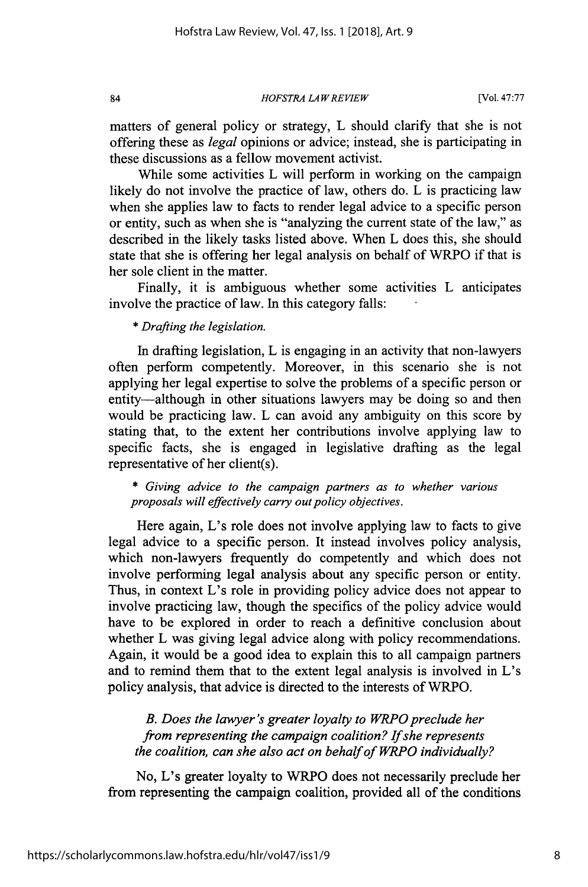*HOFSTRA LA W REVIEW*

matters of general policy or strategy, L should clarify that she is not offering these as *legal* opinions or advice; instead, she is participating in these discussions as a fellow movement activist.

While some activities L will perform in working on the campaign likely do not involve the practice of law, others do. L is practicing law when she applies law to facts to render legal advice to a specific person or entity, such as when she is "analyzing the current state of the law," as described in the likely tasks listed above. When L does this, she should state that she is offering her legal analysis on behalf of WRPO if that is her sole client in the matter.

Finally, it is ambiguous whether some activities L anticipates involve the practice of law. In this category falls:

\* *Drafting the legislation.*

84

In drafting legislation, L is engaging in an activity that non-lawyers often perform competently. Moreover, in this scenario she is not applying her legal expertise to solve the problems of a specific person or entity—although in other situations lawyers may be doing so and then would be practicing law. L can avoid any ambiguity on this score by stating that, to the extent her contributions involve applying law to specific facts, she is engaged in legislative drafting as the legal representative of her client(s).

\* *Giving advice to the campaign partners as to whether various proposals will effectively carry out policy objectives.*

Here again, L's role does not involve applying law to facts to give legal advice to a specific person. It instead involves policy analysis, which non-lawyers frequently do competently and which does not involve performing legal analysis about any specific person or entity. Thus, in context L's role in providing policy advice does not appear to involve practicing law, though the specifics of the policy advice would have to be explored in order to reach a definitive conclusion about whether L was giving legal advice along with policy recommendations. Again, it would be a good idea to explain this to all campaign partners and to remind them that to the extent legal analysis is involved in L's policy analysis, that advice is directed to the interests of WRPO.

*B. Does the lawyer's greater loyalty to WRPO preclude her from representing the campaign coalition? If she represents the coalition, can she also act on behalf of WRPO individually?*

No, L's greater loyalty to WRPO does not necessarily preclude her from representing the campaign coalition, provided all of the conditions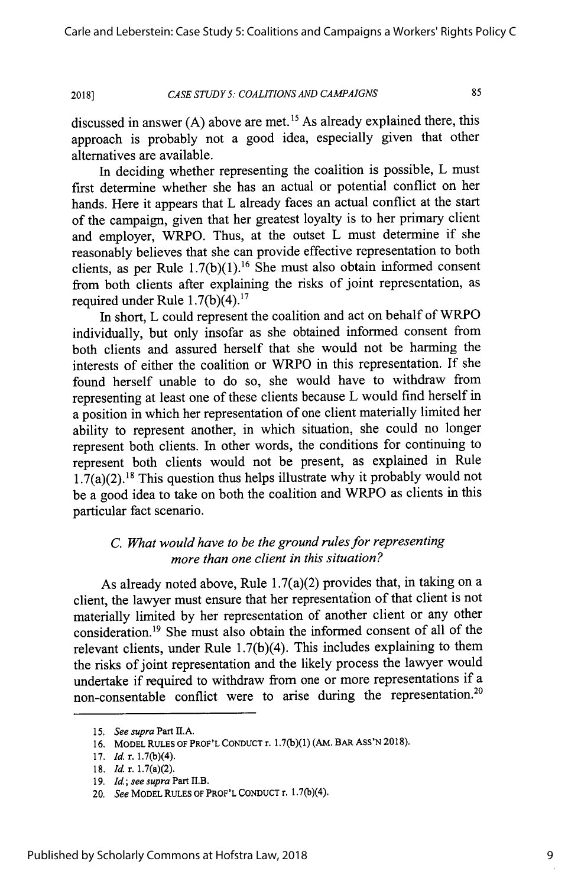#### *CASE STUDY 5: COALITIONS AND CAMPAIGNS* **2018]**

85

discussed in answer (A) above are met.<sup>15</sup> As already explained there, this approach is probably not a good idea, especially given that other alternatives are available.

In deciding whether representing the coalition is possible, L must first determine whether she has an actual or potential conflict on her hands. Here it appears that L already faces an actual conflict at the start of the campaign, given that her greatest loyalty is to her primary client and employer, WRPO. Thus, at the outset L must determine if she reasonably believes that she can provide effective representation to both clients, as per Rule  $1.7(b)(1)$ .<sup>16</sup> She must also obtain informed consent from both clients after explaining the risks of joint representation, as required under Rule  $1.7(b)(4)$ .<sup>17</sup>

In short, L could represent the coalition and act on behalf of WRPO individually, but only insofar as she obtained informed consent from both clients and assured herself that she would not be harming the interests of either the coalition or WRPO in this representation. If she found herself unable to do so, she would have to withdraw from representing at least one of these clients because L would find herself in a position in which her representation of one client materially limited her ability to represent another, in which situation, she could no longer represent both clients. In other words, the conditions for continuing to represent both clients would not be present, as explained in Rule  $1.7(a)(2).$ <sup>18</sup> This question thus helps illustrate why it probably would not be a good idea to take on both the coalition and **WRPO** as clients in this particular fact scenario.

# *C. What would have to be the ground rules for representing more than one client in this situation?*

As already noted above, Rule 1.7(a)(2) provides that, in taking on a client, the lawyer must ensure that her representation of that client is not materially limited by her representation of another client or any other consideration.<sup>19</sup> She must also obtain the informed consent of all of the relevant clients, under Rule 1.7(b)(4). This includes explaining to them the risks of joint representation and the likely process the lawyer would undertake if required to withdraw from one or more representations if a non-consentable conflict were to arise during the representation.<sup>2</sup>

<sup>15.</sup> *See supra* Part II.A.

<sup>16.</sup> MODEL RULES OF PROF'L CONDUCT r. 1.7(b)(1) (AM. BAR ASS'N 2018).

**<sup>17.</sup>** *Id.* r. 1.7(b)(4).

**<sup>18.</sup>** *Id.* r. 1.7(a)(2).

**<sup>19.</sup>** *Id; see supra* Part *l.B.*

<sup>20.</sup> *See* MODEL RULES OF PROF'L CONDUCT r. 1.7(b)(4).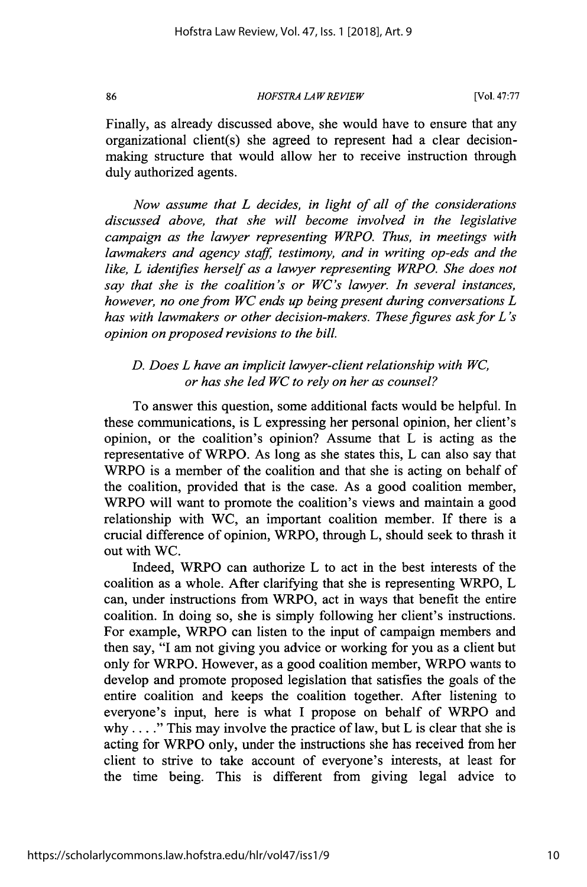86

*HOFSTRA LA W REVIEW*

[Vol. **47:77**

Finally, as already discussed above, she would have to ensure that any organizational client(s) she agreed to represent had a clear decisionmaking structure that would allow her to receive instruction through duly authorized agents.

*Now assume that L decides, in light of all of the considerations discussed above, that she will become involved in the legislative campaign as the lawyer representing WRPO. Thus, in meetings with lawmakers and agency staff, testimony, and in writing op-eds and the like, L identifies herself as a lawyer representing WRPO. She does not say that she is the coalition's or WC's lawyer. In several instances, however, no one from WC ends up being present during conversations L has with lawmakers or other decision-makers. These figures ask for L 's opinion on proposed revisions to the bill.*

# *D. Does L have an implicit lawyer-client relationship with WC, or has she led WC to rely on her as counsel?*

To answer this question, some additional facts would be helpful. In these communications, is L expressing her personal opinion, her client's opinion, or the coalition's opinion? Assume that L is acting as the representative of WRPO. As long as she states this, L can also say that WRPO is a member of the coalition and that she is acting on behalf of the coalition, provided that is the case. As a good coalition member, WRPO will want to promote the coalition's views and maintain a good relationship with WC, an important coalition member. If there is a crucial difference of opinion, WRPO, through L, should seek to thrash it out with WC.

Indeed, WRPO can authorize L to act in the best interests of the coalition as a whole. After clarifying that she is representing WRPO, L can, under instructions from WRPO, act in ways that benefit the entire coalition. In doing so, she is simply following her client's instructions. For example, WRPO can listen to the input of campaign members and then say, "I am not giving you advice or working for you as a client but only for WRPO. However, as a good coalition member, WRPO wants to develop and promote proposed legislation that satisfies the goals of the entire coalition and keeps the coalition together. After listening to everyone's input, here is what I propose on behalf of WRPO and why . . . ." This may involve the practice of law, but L is clear that she is acting for WRPO only, under the instructions she has received from her client to strive to take account of everyone's interests, at least for the time being. This is different from giving legal advice to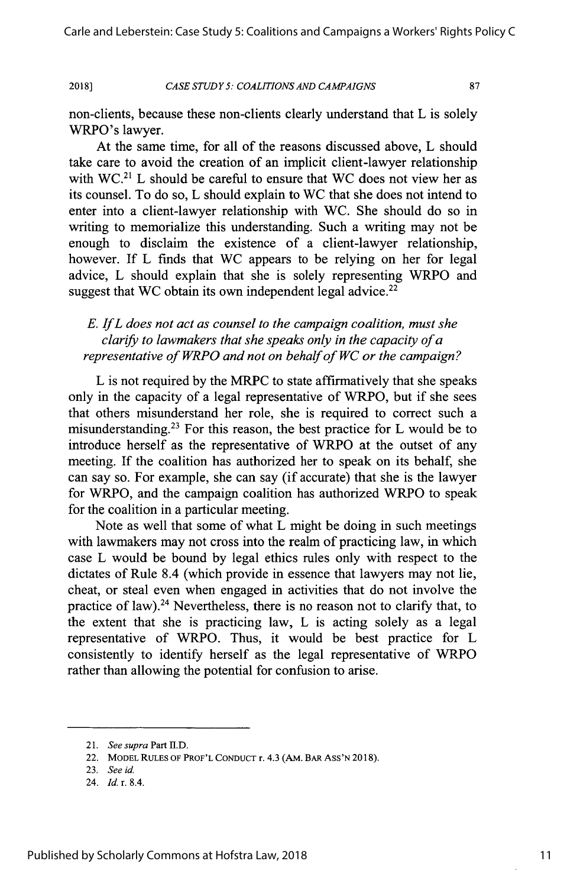*CASE STUDY 5: COALITIONS AND CAMPAIGNS*

**2018]**

87

non-clients, because these non-clients clearly understand that L is solely WRPO's lawyer.

At the same time, for all of the reasons discussed above, L should take care to avoid the creation of an implicit client-lawyer relationship with  $WC<sup>21</sup>$  L should be careful to ensure that WC does not view her as its counsel. To do so, L should explain to WC that she does not intend to enter into a client-lawyer relationship with WC. She should do so in writing to memorialize this understanding. Such a writing may not be enough to disclaim the existence of a client-lawyer relationship, however. If L finds that WC appears to be relying on her for legal advice, L should explain that she is solely representing WRPO and suggest that WC obtain its own independent legal advice. $2^2$ 

*E. If L does not act as counsel to the campaign coalition, must she clarify to lawmakers that she speaks only in the capacity of a representative of WRPO and not on behalf of WC or the campaign?*

L is not required by the MRPC to state affirmatively that she speaks only in the capacity of a legal representative of WRPO, but if she sees that others misunderstand her role, she is required to correct such a misunderstanding.23 For this reason, the best practice for L would be to introduce herself as the representative of WRPO at the outset of any meeting. If the coalition has authorized her to speak on its behalf, she can say so. For example, she can say (if accurate) that she is the lawyer for WRPO, and the campaign coalition has authorized WRPO to speak for the coalition in a particular meeting.

Note as well that some of what L might be doing in such meetings with lawmakers may not cross into the realm of practicing law, in which case L would be bound by legal ethics rules only with respect to the dictates of Rule 8.4 (which provide in essence that lawyers may not lie, cheat, or steal even when engaged in activities that do not involve the practice of law).<sup>24</sup> Nevertheless, there is no reason not to clarify that, to the extent that she is practicing law, L is acting solely as a legal representative of WRPO. Thus, it would be best practice for L consistently to identify herself as the legal representative of WRPO rather than allowing the potential for confusion to arise.

*<sup>21.</sup> See supra* Part **n.D.**

<sup>22.</sup> MODEL **RULES** OF PROF'L **CONDUCT** r. 4.3 (AM. BAR **ASS'N** 2018).

<sup>23.</sup> *See id.*

<sup>24.</sup> *Id.* r. 8.4.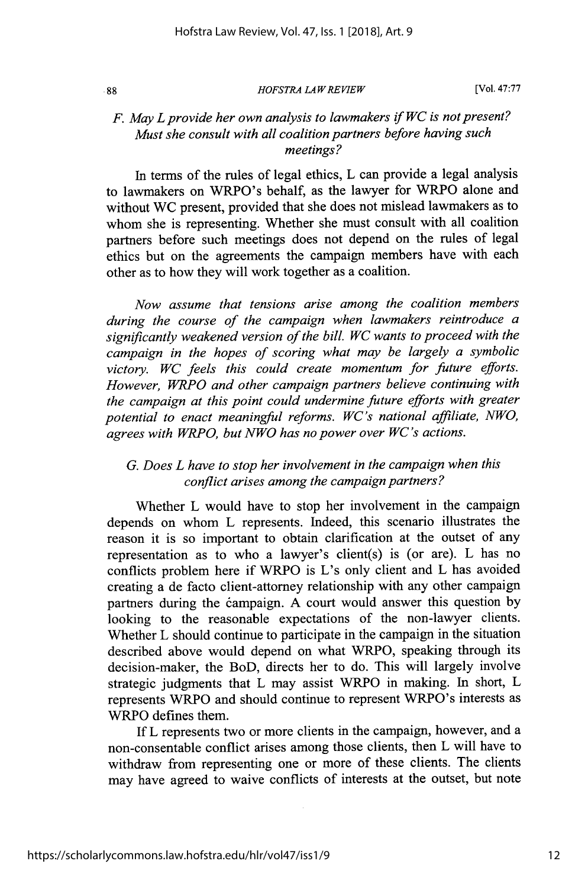$.88$ 

### *HOFSTRA LA W REVIEW*

[Vol. **47:77**

## *F. May L provide her own analysis to lawmakers if WC is not present? Must she consult with all coalition partners before having such meetings?*

In terms of the rules of legal ethics, L can provide a legal analysis to lawmakers on WRPO's behalf, as the lawyer for WRPO alone and without WC present, provided that she does not mislead lawmakers as to whom she is representing. Whether she must consult with all coalition partners before such meetings does not depend on the rules of legal ethics but on the agreements the campaign members have with each other as to how they will work together as a coalition.

*Now assume that tensions arise among the coalition members during the course of the campaign when lawmakers reintroduce a significantly weakened version of the bill. WC wants to proceed with the campaign in the hopes of scoring what may be largely a symbolic victory. WC feels this could create momentum for future efforts. However, WRPO and other campaign partners believe continuing with the campaign at this point could undermine future efforts with greater potential to enact meaningful reforms. WC's national affiliate, NWO, agrees with WRPO, but NWO has no power over WC's actions.*

# *G. Does L have to stop her involvement in the campaign when this conflict arises among the campaign partners?*

Whether L would have to stop her involvement in the campaign depends on whom L represents. Indeed, this scenario illustrates the reason it is so important to obtain clarification at the outset of any representation as to who a lawyer's client(s) is (or are). L has no conflicts problem here if WRPO is L's only client and L has avoided creating a de facto client-attorney relationship with any other campaign partners during the campaign. A court would answer this question by looking to the reasonable expectations of the non-lawyer clients. Whether L should continue to participate in the campaign in the situation described above would depend on what WRPO, speaking through its decision-maker, the BoD, directs her to do. This will largely involve strategic judgments that L may assist WRPO in making. In short, L represents WRPO and should continue to represent WRPO's interests as WRPO defines them.

If L represents two or more clients in the campaign, however, and a non-consentable conflict arises among those clients, then L will have to withdraw from representing one or more of these clients. The clients may have agreed to waive conflicts of interests at the outset, but note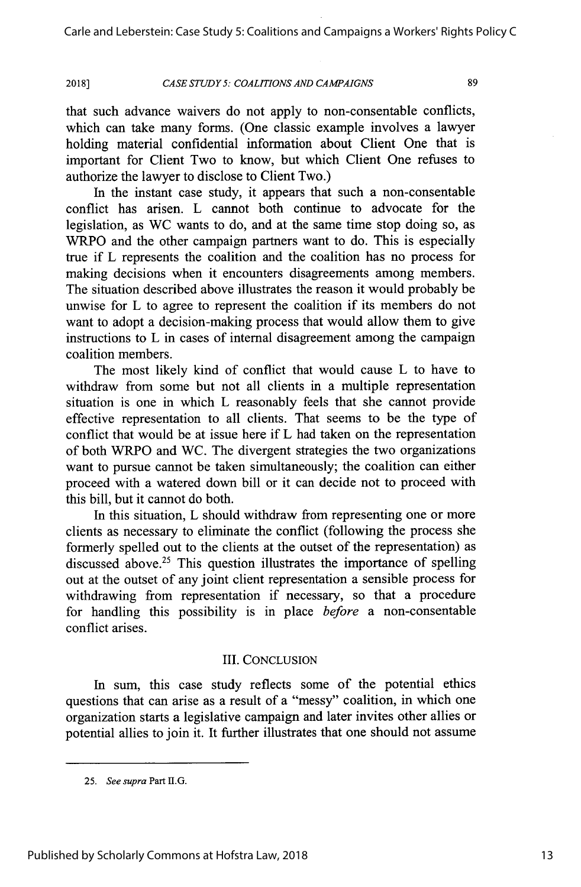Carle and Leberstein: Case Study 5: Coalitions and Campaigns a Workers' Rights Policy C

### *CASE STUDY 5: COALITIONS AND CAMPAIGNS*

**2018]**

89

that such advance waivers do not apply to non-consentable conflicts, which can take many forms. (One classic example involves a lawyer holding material confidential information about Client One that is important for Client Two to know, but which Client One refuses to authorize the lawyer to disclose to Client Two.)

In the instant case study, it appears that such a non-consentable conflict has arisen. L cannot both continue to advocate for the legislation, as WC wants to do, and at the same time stop doing so, as WRPO and the other campaign partners want to do. This is especially true if L represents the coalition and the coalition has no process for making decisions when it encounters disagreements among members. The situation described above illustrates the reason it would probably be unwise for L to agree to represent the coalition if its members do not want to adopt a decision-making process that would allow them to give instructions to L in cases of internal disagreement among the campaign coalition members.

The most likely kind of conflict that would cause L to have to withdraw from some but not all clients in a multiple representation situation is one in which L reasonably feels that she cannot provide effective representation to all clients. That seems to be the type of conflict that would be at issue here if L had taken on the representation of both WRPO and WC. The divergent strategies the two organizations want to pursue cannot be taken simultaneously; the coalition can either proceed with a watered down bill or it can decide not to proceed with this bill, but it cannot do both.

In this situation, L should withdraw from representing one or more clients as necessary to eliminate the conflict (following the process she formerly spelled out to the clients at the outset of the representation) as discussed above.<sup>25</sup> This question illustrates the importance of spelling out at the outset of any joint client representation a sensible process for withdrawing from representation if necessary, so that a procedure for handling this possibility is in place *before* a non-consentable conflict arises.

### III. CONCLUSION

In sum, this case study reflects some of the potential ethics questions that can arise as a result of a "messy" coalition, in which one organization starts a legislative campaign and later invites other allies or potential allies to join it. It further illustrates that one should not assume

<sup>25.</sup> *See supra* Part I1G.